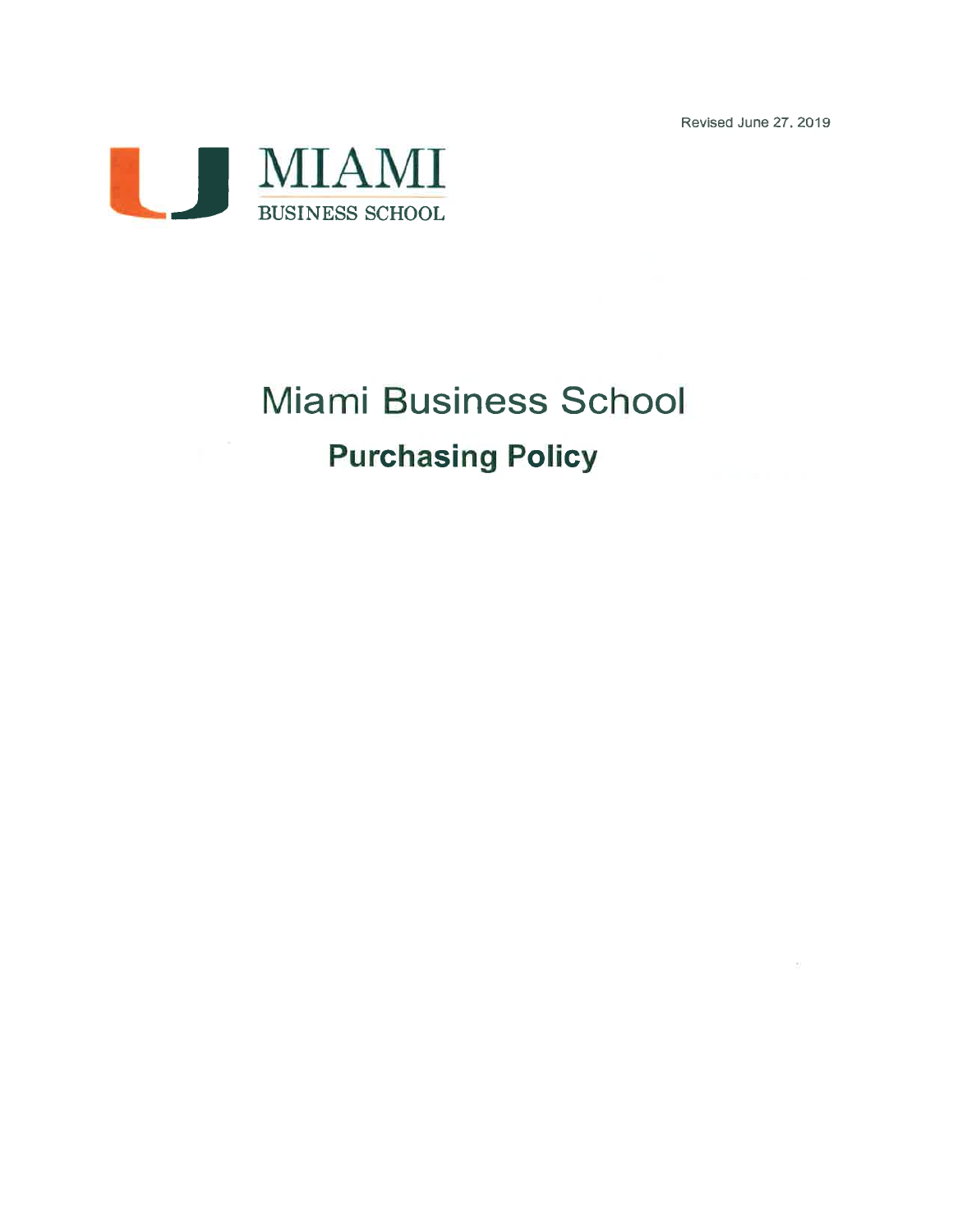Revised June 27, 2019



# **Miami Business School Purchasing Policy**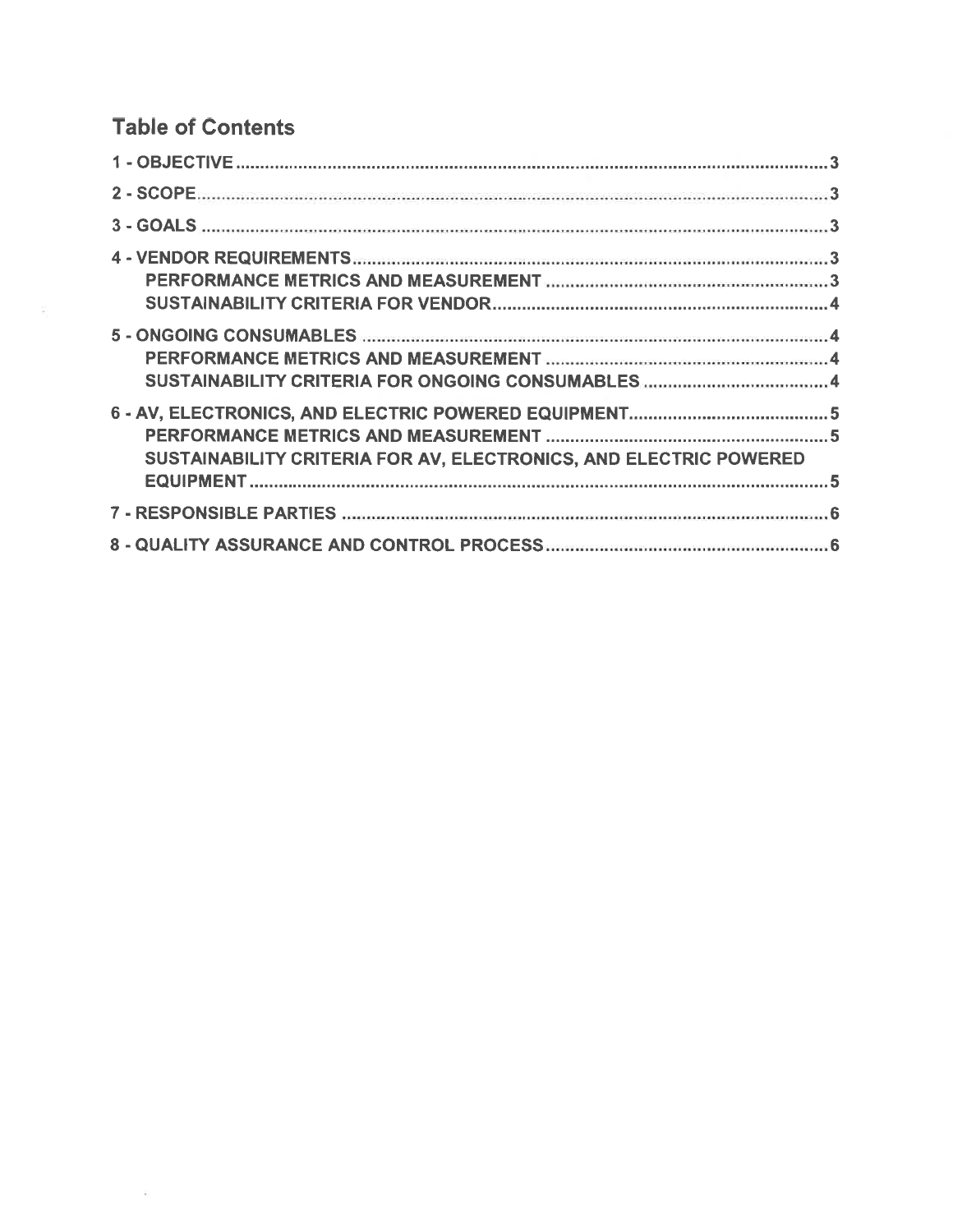# **Table of Contents**

 $\frac{1}{2}$  .

| SUSTAINABILITY CRITERIA FOR AV, ELECTRONICS, AND ELECTRIC POWERED |  |
|-------------------------------------------------------------------|--|
|                                                                   |  |
|                                                                   |  |
|                                                                   |  |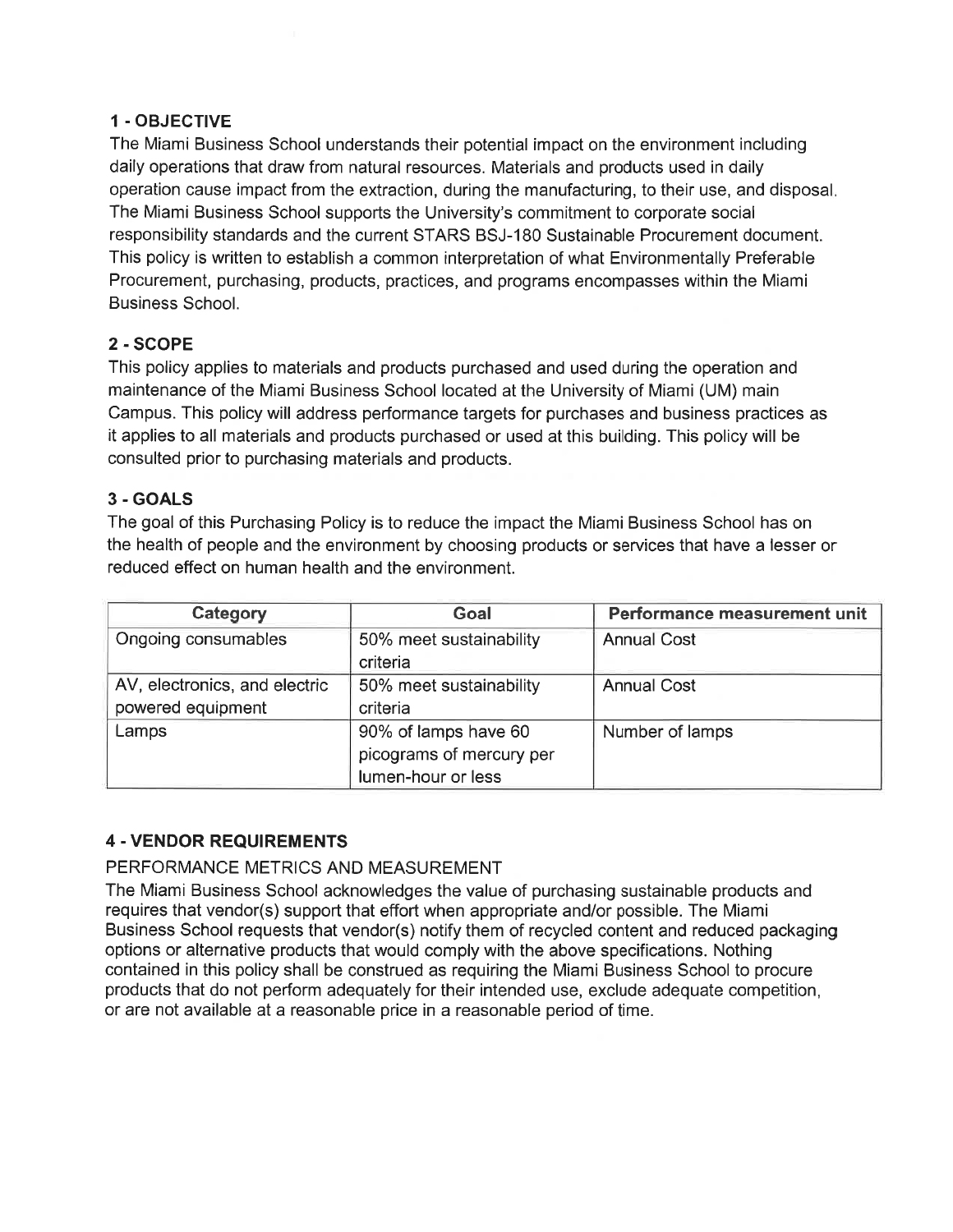#### 1 - OBJECTIVE

The Miami Business School understands their potential impact on the environment including daily operations that draw from natural resources. Materials and products used in daily operation cause impact from the extraction, during the manufacturing, to their use, and disposal. The Miami Business School supports the University's commitment to corporate social responsibility standards and the current STARS BSJ-180 Sustainable Procurement document. This policy is written to establish a common interpretation of what Environmentally Preferable Procurement, purchasing, products, practices, and programs encompasses within the Miami **Business School.** 

# 2 - SCOPE

This policy applies to materials and products purchased and used during the operation and maintenance of the Miami Business School located at the University of Miami (UM) main Campus. This policy will address performance targets for purchases and business practices as it applies to all materials and products purchased or used at this building. This policy will be consulted prior to purchasing materials and products.

#### 3 - GOALS

The goal of this Purchasing Policy is to reduce the impact the Miami Business School has on the health of people and the environment by choosing products or services that have a lesser or reduced effect on human health and the environment.

| Category                                           | Goal                                                                   | Performance measurement unit |  |
|----------------------------------------------------|------------------------------------------------------------------------|------------------------------|--|
| Ongoing consumables                                | 50% meet sustainability<br>criteria                                    | <b>Annual Cost</b>           |  |
| AV, electronics, and electric<br>powered equipment | 50% meet sustainability<br>criteria                                    | <b>Annual Cost</b>           |  |
| Lamps                                              | 90% of lamps have 60<br>picograms of mercury per<br>lumen-hour or less | Number of lamps              |  |

#### **4 - VENDOR REQUIREMENTS**

#### PERFORMANCE METRICS AND MEASUREMENT

The Miami Business School acknowledges the value of purchasing sustainable products and requires that vendor(s) support that effort when appropriate and/or possible. The Miami Business School requests that vendor(s) notify them of recycled content and reduced packaging options or alternative products that would comply with the above specifications. Nothing contained in this policy shall be construed as requiring the Miami Business School to procure products that do not perform adequately for their intended use, exclude adequate competition, or are not available at a reasonable price in a reasonable period of time.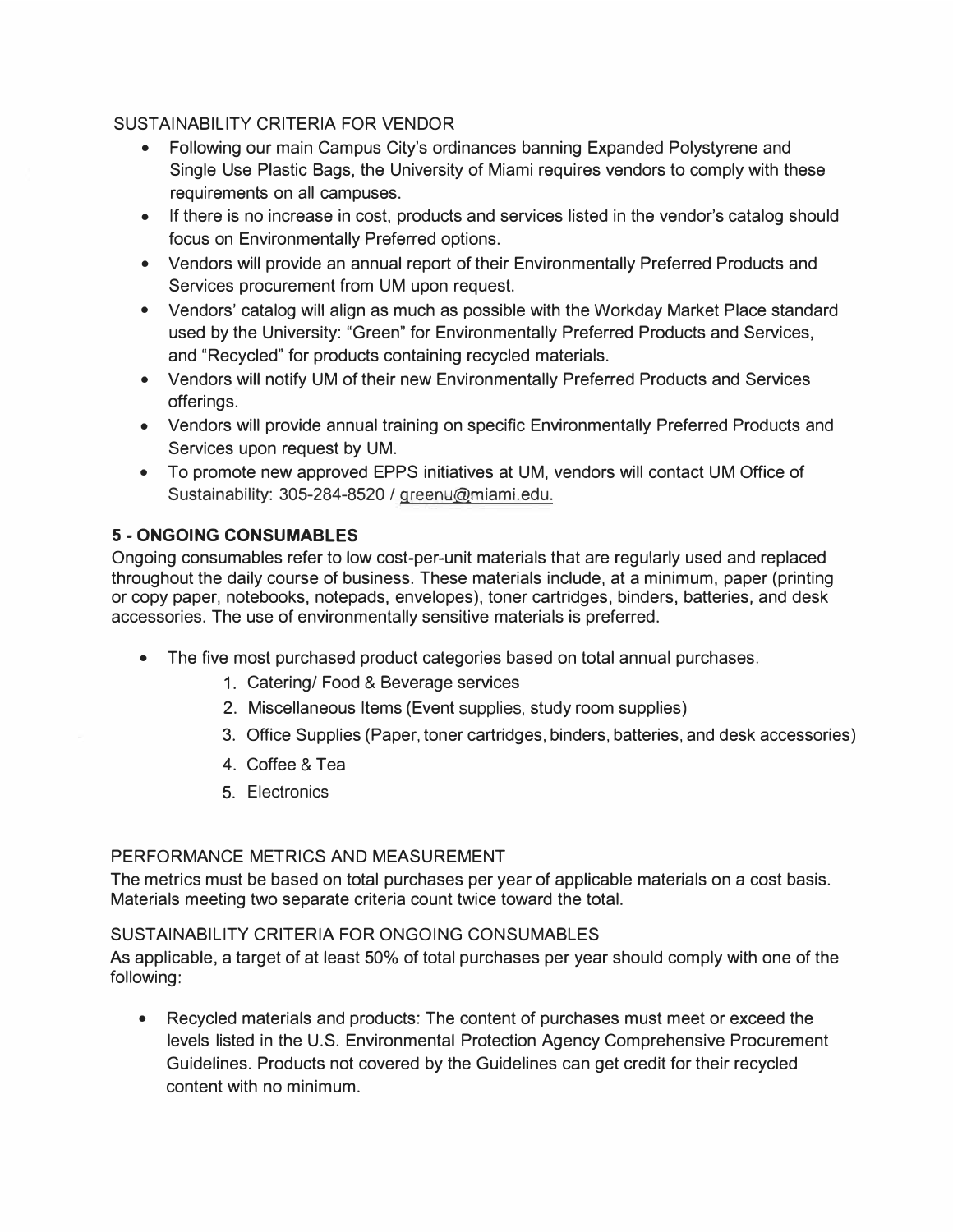#### SUSTAINABILITY CRITERIA FOR VENDOR

- Following our main Campus City's ordinances banning Expanded Polystyrene and Single Use Plastic Bags, the University of Miami requires vendors to comply with these requirements on all campuses.
- If there is no increase in cost, products and services listed in the vendor's catalog should focus on Environmentally Preferred options.
- Vendors will provide an annual report of their Environmentally Preferred Products and Services procurement from UM upon request.
- Vendors' catalog will align as much as possible with the Workday Market Place standard used by the University: "Green" for Environmentally Preferred Products and Services, and "Recycled" for products containing recycled materials.
- Vendors will notify UM of their new Environmentally Preferred Products and Services offerings.
- Vendors will provide annual training on specific Environmentally Preferred Products and Services upon request by UM.
- To promote new approved EPPS initiatives at UM, vendors will contact UM Office of Sustainability: 305-284-8520 / greenu@miami.edu.

# **5 - ONGOING CONSUMABLES**

Ongoing consumables refer to low cost-per-unit materials that are regularly used and replaced throughout the daily course of business. These materials include, at a minimum, paper (printing or copy paper, notebooks, notepads, envelopes), toner cartridges, binders, batteries, and desk accessories. The use of environmentally sensitive materials is preferred.

- The five most purchased product categories based on total annual purchases.
	- 1. Catering/ Food & Beverage services
	- 2. Miscellaneous Items (Event supplies, study room supplies)
	- 3. Office Supplies (Paper, toner cartridges, binders, batteries, and desk accessories)
	- 4. Coffee & Tea
	- 5. Electronics

#### PERFORMANCE METRICS AND MEASUREMENT

The metrics must be based on total purchases per year of applicable materials on a cost basis. Materials meeting two separate criteria count twice toward the total.

#### SUSTAINABILITY CRITERIA FOR ONGOING CONSUMABLES

As applicable, a target of at least 50% of total purchases per year should comply with one of the following:

• Recycled materials and products: The content of purchases must meet or exceed the levels listed in the U.S. Environmental Protection Agency Comprehensive Procurement Guidelines. Products not covered by the Guidelines can get credit for their recycled content with no minimum.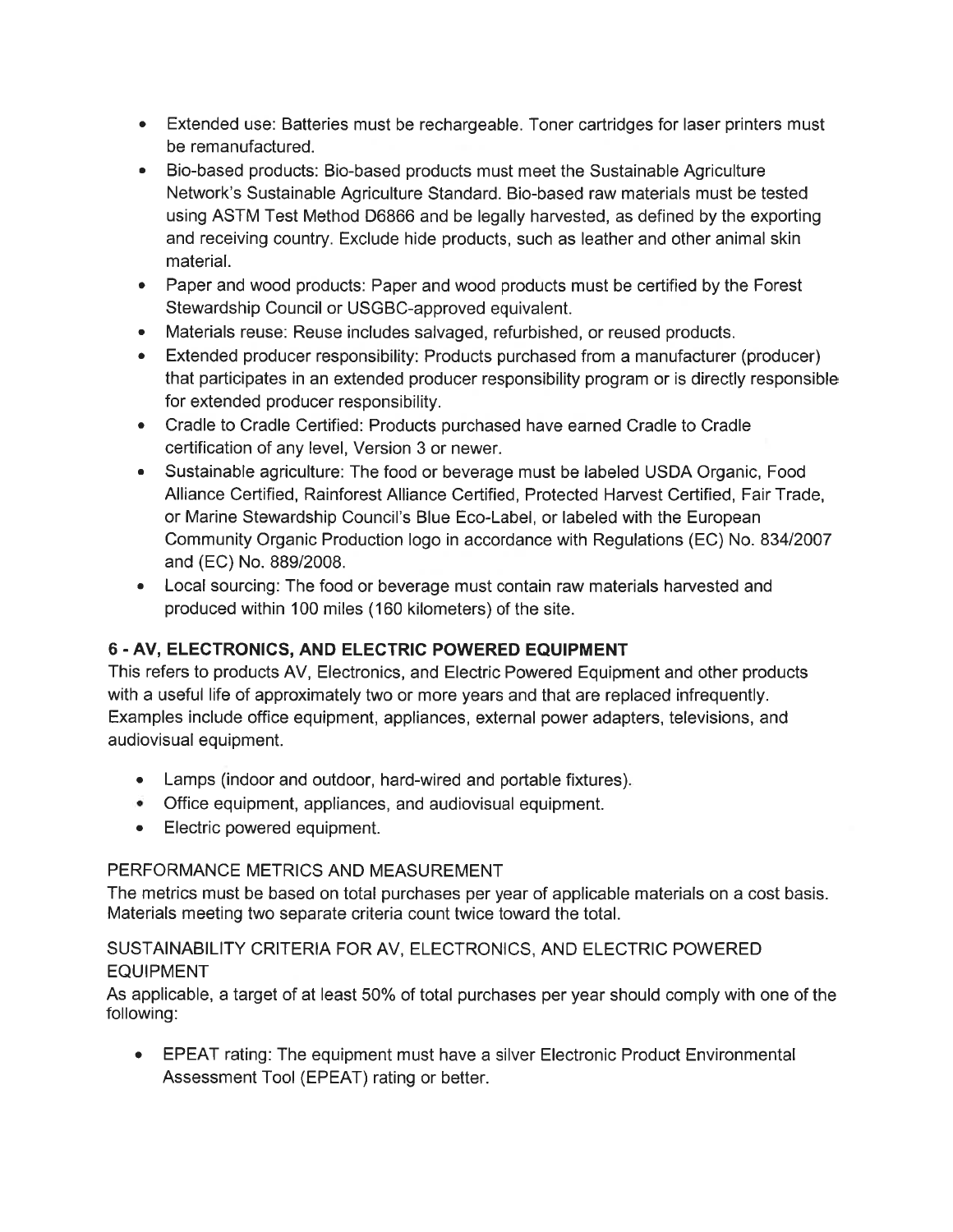- Extended use: Batteries must be rechargeable. Toner cartridges for laser printers must be remanufactured.
- Bio-based products: Bio-based products must meet the Sustainable Agriculture Network's Sustainable Agriculture Standard. Bio-based raw materials must be tested using ASTM Test Method D6866 and be legally harvested, as defined by the exporting and receiving country. Exclude hide products, such as leather and other animal skin material.
- Paper and wood products: Paper and wood products must be certified by the Forest Stewardship Council or USGBC-approved equivalent.
- Materials reuse: Reuse includes salvaged, refurbished, or reused products.
- Extended producer responsibility: Products purchased from a manufacturer (producer) that participates in an extended producer responsibility program or is directly responsible for extended producer responsibility.
- Cradle to Cradle Certified: Products purchased have earned Cradle to Cradle certification of any level, Version 3 or newer.
- Sustainable agriculture: The food or beverage must be labeled USDA Organic, Food Alliance Certified, Rainforest Alliance Certified, Protected Harvest Certified, Fair Trade, or Marine Stewardship Council's Blue Eco-Label, or labeled with the European Community Organic Production logo in accordance with Regulations (EC) No. 834/2007 and (EC) No. 889/2008.
- Local sourcing: The food or beverage must contain raw materials harvested and produced within 100 miles (160 kilometers) of the site.

# 6 - AV, ELECTRONICS, AND ELECTRIC POWERED EQUIPMENT

This refers to products AV, Electronics, and Electric Powered Equipment and other products with a useful life of approximately two or more years and that are replaced infrequently. Examples include office equipment, appliances, external power adapters, televisions, and audiovisual equipment.

- Lamps (indoor and outdoor, hard-wired and portable fixtures).
- Office equipment, appliances, and audiovisual equipment.
- Electric powered equipment.

#### PERFORMANCE METRICS AND MEASUREMENT

The metrics must be based on total purchases per year of applicable materials on a cost basis. Materials meeting two separate criteria count twice toward the total.

# SUSTAINABILITY CRITERIA FOR AV, ELECTRONICS, AND ELECTRIC POWERED **EQUIPMENT**

As applicable, a target of at least 50% of total purchases per year should comply with one of the following:

• EPEAT rating: The equipment must have a silver Electronic Product Environmental Assessment Tool (EPEAT) rating or better.